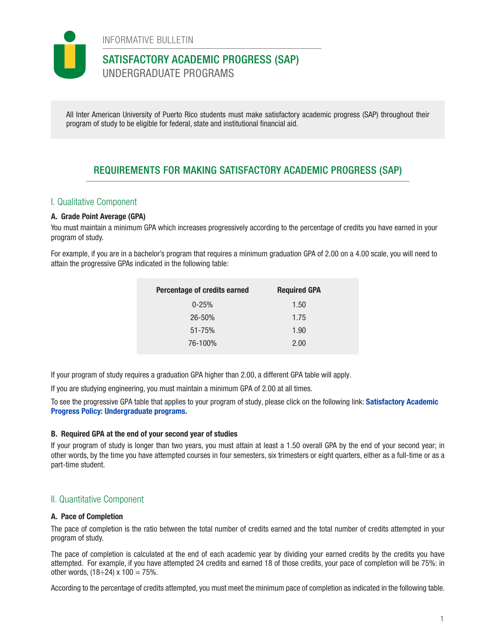

INFORMATIVE BULLETIN

## SATISFACTORY ACADEMIC PROGRESS (SAP) UNDERGRADUATE PROGRAMS

All Inter American University of Puerto Rico students must make satisfactory academic progress (SAP) throughout their program of study to be eligible for federal, state and institutional financial aid.

# REQUIREMENTS FOR MAKING SATISFACTORY ACADEMIC PROGRESS (SAP)

### I. Qualitative Component

### A. Grade Point Average (GPA)

You must maintain a minimum GPA which increases progressively according to the percentage of credits you have earned in your program of study.

For example, if you are in a bachelor's program that requires a minimum graduation GPA of 2.00 on a 4.00 scale, you will need to attain the progressive GPAs indicated in the following table:

| Percentage of credits earned | <b>Required GPA</b> |
|------------------------------|---------------------|
| $0 - 25%$                    | 1.50                |
| $26 - 50%$                   | 1.75                |
| $51 - 75%$                   | 1.90                |
| 76-100%                      | 2.00                |

If your program of study requires a graduation GPA higher than 2.00, a different GPA table will apply.

If you are studying engineering, you must maintain a minimum GPA of 2.00 at all times.

To see the progressive GPA table that applies to your program of study, please click on the following link: [Satisfactory Academic](https://documentos.inter.edu/wp-admin/admin-ajax.php?juwpfisadmin=false&action=wpfd&task=file.download&wpfd_category_id=391&wpfd_file_id=23551&token=94e8796a8eb7da41b815a156f2587df0&preview=1) [Progress Policy: Undergraduate programs.](https://documentos.inter.edu/wp-admin/admin-ajax.php?juwpfisadmin=false&action=wpfd&task=file.download&wpfd_category_id=391&wpfd_file_id=23551&token=94e8796a8eb7da41b815a156f2587df0&preview=1)

#### B. Required GPA at the end of your second year of studies

If your program of study is longer than two years, you must attain at least a 1.50 overall GPA by the end of your second year; in other words, by the time you have attempted courses in four semesters, six trimesters or eight quarters, either as a full-time or as a part-time student.

### II. Quantitative Component

#### A. Pace of Completion

The pace of completion is the ratio between the total number of credits earned and the total number of credits attempted in your program of study.

The pace of completion is calculated at the end of each academic year by dividing your earned credits by the credits you have attempted. For example, if you have attempted 24 credits and earned 18 of those credits, your pace of completion will be 75%: in other words,  $(18 \div 24) \times 100 = 75\%$ .

According to the percentage of credits attempted, you must meet the minimum pace of completion as indicated in the following table.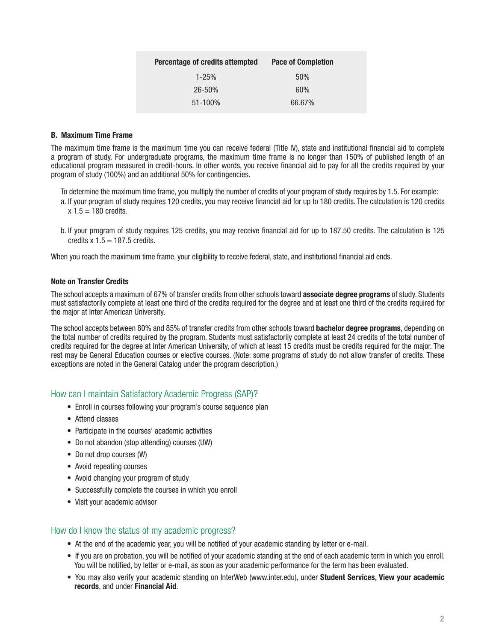| Percentage of credits attempted | <b>Pace of Completion</b> |
|---------------------------------|---------------------------|
| $1 - 25%$                       | 50%                       |
| $26 - 50%$                      | 60%                       |
| $51 - 100\%$                    | 66.67%                    |

#### B. Maximum Time Frame

The maximum time frame is the maximum time you can receive federal (Title IV), state and institutional financial aid to complete a program of study. For undergraduate programs, the maximum time frame is no longer than 150% of published length of an educational program measured in credit-hours. In other words, you receive financial aid to pay for all the credits required by your program of study (100%) and an additional 50% for contingencies.

To determine the maximum time frame, you multiply the number of credits of your program of study requires by 1.5. For example:

- a. If your program of study requires 120 credits, you may receive financial aid for up to 180 credits. The calculation is 120 credits  $x 1.5 = 180$  credits.
- b. If your program of study requires 125 credits, you may receive financial aid for up to 187.50 credits. The calculation is 125 credits  $x 1.5 = 187.5$  credits.

When you reach the maximum time frame, your eligibility to receive federal, state, and institutional financial aid ends.

#### Note on Transfer Credits

The school accepts a maximum of 67% of transfer credits from other schools toward associate degree programs of study. Students must satisfactorily complete at least one third of the credits required for the degree and at least one third of the credits required for the major at Inter American University.

The school accepts between 80% and 85% of transfer credits from other schools toward **bachelor degree programs**, depending on the total number of credits required by the program. Students must satisfactorily complete at least 24 credits of the total number of credits required for the degree at Inter American University, of which at least 15 credits must be credits required for the major. The rest may be General Education courses or elective courses. (Note: some programs of study do not allow transfer of credits. These exceptions are noted in the General Catalog under the program description.)

### How can I maintain Satisfactory Academic Progress (SAP)?

- Enroll in courses following your program's course sequence plan
- Attend classes
- Participate in the courses' academic activities
- Do not abandon (stop attending) courses (UW)
- Do not drop courses (W)
- Avoid repeating courses
- Avoid changing your program of study
- Successfully complete the courses in which you enroll
- Visit your academic advisor

### How do I know the status of my academic progress?

- At the end of the academic year, you will be notified of your academic standing by letter or e-mail.
- If you are on probation, you will be notified of your academic standing at the end of each academic term in which you enroll. You will be notified, by letter or e-mail, as soon as your academic performance for the term has been evaluated.
- You may also verify your academic standing on InterWeb (www.inter.edu), under Student Services, View your academic records, and under Financial Aid.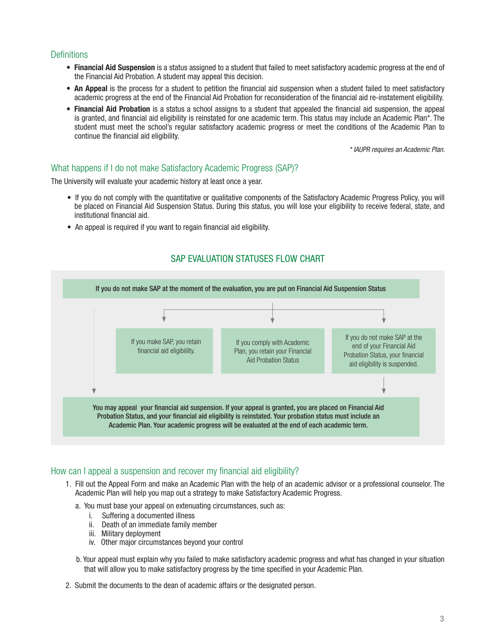#### **Definitions**

- Financial Aid Suspension is a status assigned to a student that failed to meet satisfactory academic progress at the end of the Financial Aid Probation. A student may appeal this decision.
- An Appeal is the process for a student to petition the financial aid suspension when a student failed to meet satisfactory academic progress at the end of the Financial Aid Probation for reconsideration of the financial aid re-instatement eligibility.
- Financial Aid Probation is a status a school assigns to a student that appealed the financial aid suspension, the appeal is granted, and financial aid eligibility is reinstated for one academic term. This status may include an Academic Plan\*. The student must meet the school's regular satisfactory academic progress or meet the conditions of the Academic Plan to continue the financial aid eligibility.

*\* IAUPR requires an Academic Plan.*

#### What happens if I do not make Satisfactory Academic Progress (SAP)?

The University will evaluate your academic history at least once a year.

- If you do not comply with the quantitative or qualitative components of the Satisfactory Academic Progress Policy, you will be placed on Financial Aid Suspension Status. During this status, you will lose your eligibility to receive federal, state, and institutional financial aid.
- An appeal is required if you want to regain financial aid eligibility.

### SAP EVALUATION STATUSES FLOW CHART



#### How can I appeal a suspension and recover my financial aid eligibility?

- 1. Fill out the Appeal Form and make an Academic Plan with the help of an academic advisor or a professional counselor. The Academic Plan will help you map out a strategy to make Satisfactory Academic Progress.
	- a. You must base your appeal on extenuating circumstances, such as:
		- i. Suffering a documented illness
		- ii. Death of an immediate family member
		- iii. Military deployment
		- iv. Other major circumstances beyond your control

b. Your appeal must explain why you failed to make satisfactory academic progress and what has changed in your situation that will allow you to make satisfactory progress by the time specified in your Academic Plan.

2. Submit the documents to the dean of academic affairs or the designated person.